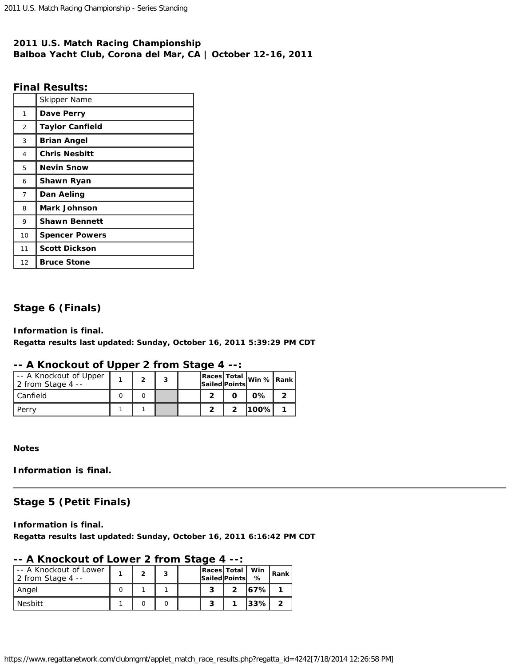# **2011 U.S. Match Racing Championship Balboa Yacht Club, Corona del Mar, CA | October 12-16, 2011**

# **Final Results:**

|                | Skipper Name           |
|----------------|------------------------|
| 1              | Dave Perry             |
| $\overline{2}$ | <b>Taylor Canfield</b> |
| 3              | <b>Brian Angel</b>     |
| 4              | <b>Chris Nesbitt</b>   |
| 5              | <b>Nevin Snow</b>      |
| 6              | Shawn Ryan             |
| $\overline{7}$ | Dan Aeling             |
| 8              | <b>Mark Johnson</b>    |
| 9              | <b>Shawn Bennett</b>   |
| 10             | <b>Spencer Powers</b>  |
| 11             | <b>Scott Dickson</b>   |
| 12             | <b>Bruce Stone</b>     |

# **Stage 6 (Finals)**

## **Information is final.**

**Regatta results last updated: Sunday, October 16, 2011 5:39:29 PM CDT**

# **-- A Knockout of Upper 2 from Stage 4 --:**

| -- A Knockout of Upper<br>2 from Stage 4 $-$ | っ | 3 |  | Races Total Win % Rank |  |
|----------------------------------------------|---|---|--|------------------------|--|
| Canfield                                     |   |   |  | $0\%$                  |  |
| Perry                                        |   |   |  | l100%l                 |  |

**Notes**

**Information is final.**

# **Stage 5 (Petit Finals)**

**Information is final. Regatta results last updated: Sunday, October 16, 2011 6:16:42 PM CDT**

# **-- A Knockout of Lower 2 from Stage 4 --:**

| -- A Knockout of Lower<br>2 from Stage 4 -- |  |  | Races Total   Win<br>Sailed Points | %      | Rank |
|---------------------------------------------|--|--|------------------------------------|--------|------|
| Angel                                       |  |  |                                    | 167% l |      |
| <b>Nesbitt</b>                              |  |  |                                    | 33%    |      |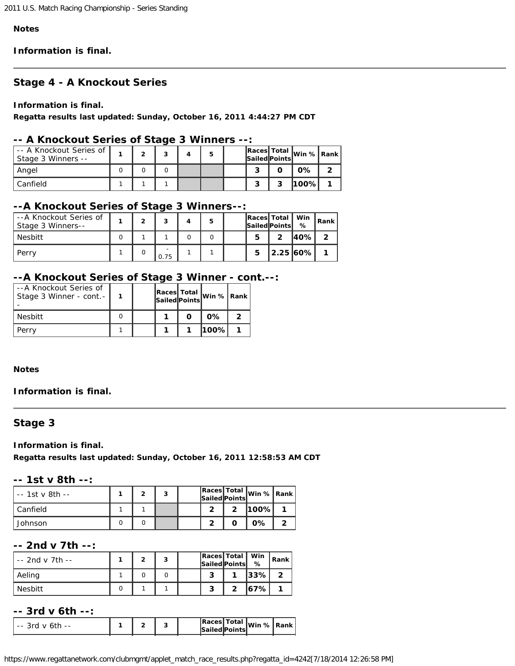#### **Notes**

**Information is final.**

## **Stage 4 - A Knockout Series**

#### **Information is final.**

**Regatta results last updated: Sunday, October 16, 2011 4:44:27 PM CDT**

## **-- A Knockout Series of Stage 3 Winners --:**

| -- A Knockout Series of<br>Stage 3 Winners -- |  | ີ |  |  |   | Races Total Win % Rank |  |
|-----------------------------------------------|--|---|--|--|---|------------------------|--|
| Angel                                         |  |   |  |  |   | 0%                     |  |
| Canfield                                      |  |   |  |  | ິ | 1100%                  |  |

## **--A Knockout Series of Stage 3 Winners--:**

| --A Knockout Series of<br>Stage 3 Winners-- |  |      | 5 |   | Races Total Win<br>Sailed Points | %     | Rank |
|---------------------------------------------|--|------|---|---|----------------------------------|-------|------|
| <b>Nesbitt</b>                              |  |      |   | 5 | າ                                | 140%I |      |
| Perry                                       |  | 0.75 |   | 5 | 12.25 60%                        |       |      |

## **--A Knockout Series of Stage 3 Winner - cont.--:**

| --A Knockout Series of<br>Stage 3 Winner - cont. - |  |  | Races Total Win % Rank |  |
|----------------------------------------------------|--|--|------------------------|--|
| Nesbitt                                            |  |  | $0\%$                  |  |
| Perry                                              |  |  | 1100%l                 |  |

#### **Notes**

### **Information is final.**

## **Stage 3**

**Information is final.**

**Regatta results last updated: Sunday, October 16, 2011 12:58:53 AM CDT**

## **-- 1st v 8th --:**

| -- 1st v 8th -- | ົ | з |   |   | Races Total Win % Rank |  |
|-----------------|---|---|---|---|------------------------|--|
| Canfield        |   |   | э | 2 | 100%                   |  |
| Johnson         |   |   |   |   | $0\%$                  |  |

# **-- 2nd v 7th --:**

| $-2$ nd v 7th $-$ | G | 2 |  | Races   Total   Win<br>Sailed Points | %        | $\mathsf{R}$ ank |
|-------------------|---|---|--|--------------------------------------|----------|------------------|
| Aeling            |   |   |  |                                      | $ 33\% $ |                  |
| <b>Nesbitt</b>    |   |   |  |                                      | 167% l   |                  |

## **-- 3rd v 6th --:**

| .<br>$ -$<br>-- |  |  | <b>IRaces</b> | Total  <br><b>Sailed Points</b> | lWin % | ' Rank |
|-----------------|--|--|---------------|---------------------------------|--------|--------|
|                 |  |  |               |                                 |        |        |